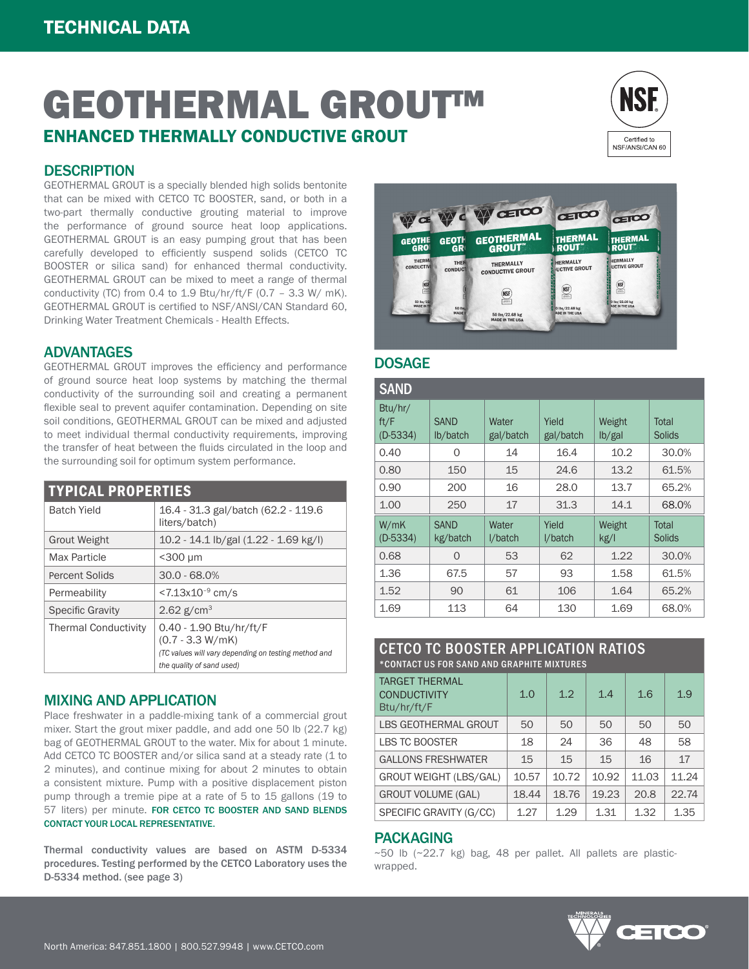# GEOTHERMAL GROUT™ ENHANCED THERMALLY CONDUCTIVE GROUT



## **DESCRIPTION**

GEOTHERMAL GROUT is a specially blended high solids bentonite that can be mixed with CETCO TC BOOSTER, sand, or both in a two-part thermally conductive grouting material to improve the performance of ground source heat loop applications. GEOTHERMAL GROUT is an easy pumping grout that has been carefully developed to efficiently suspend solids (CETCO TC BOOSTER or silica sand) for enhanced thermal conductivity. GEOTHERMAL GROUT can be mixed to meet a range of thermal conductivity (TC) from 0.4 to 1.9 Btu/hr/ft/F (0.7 - 3.3 W/ mK). GEOTHERMAL GROUT is certified to NSF/ANSI/CAN Standard 60, Drinking Water Treatment Chemicals - Health Effects.

## ADVANTAGES

GEOTHERMAL GROUT improves the efficiency and performance of ground source heat loop systems by matching the thermal conductivity of the surrounding soil and creating a permanent flexible seal to prevent aquifer contamination. Depending on site soil conditions, GEOTHERMAL GROUT can be mixed and adjusted to meet individual thermal conductivity requirements, improving the transfer of heat between the fluids circulated in the loop and the surrounding soil for optimum system performance.

| <b>TYPICAL PROPERTIES</b>   |                                                                                                                                    |  |  |  |
|-----------------------------|------------------------------------------------------------------------------------------------------------------------------------|--|--|--|
| <b>Batch Yield</b>          | 16.4 - 31.3 gal/batch (62.2 - 119.6)<br>liters/batch)                                                                              |  |  |  |
| Grout Weight                | 10.2 - 14.1 lb/gal (1.22 - 1.69 kg/l)                                                                                              |  |  |  |
| Max Particle                | $<$ 300 µm                                                                                                                         |  |  |  |
| Percent Solids              | $30.0 - 68.0%$                                                                                                                     |  |  |  |
| Permeability                | $<$ 7.13x10 <sup>-9</sup> cm/s                                                                                                     |  |  |  |
| <b>Specific Gravity</b>     | 2.62 $g/cm^{3}$                                                                                                                    |  |  |  |
| <b>Thermal Conductivity</b> | 0.40 - 1.90 Btu/hr/ft/F<br>$(0.7 - 3.3 W/mK)$<br>(TC values will vary depending on testing method and<br>the quality of sand used) |  |  |  |

#### MIXING AND APPLICATION

Place freshwater in a paddle-mixing tank of a commercial grout mixer. Start the grout mixer paddle, and add one 50 lb (22.7 kg) bag of GEOTHERMAL GROUT to the water. Mix for about 1 minute. Add CETCO TC BOOSTER and/or silica sand at a steady rate (1 to 2 minutes), and continue mixing for about 2 minutes to obtain a consistent mixture. Pump with a positive displacement piston pump through a tremie pipe at a rate of 5 to 15 gallons (19 to 57 liters) per minute. FOR CETCO TC BOOSTER AND SAND BLENDS CONTACT YOUR LOCAL REPRESENTATIVE.

Thermal conductivity values are based on ASTM D-5334 procedures. Testing performed by the CETCO Laboratory uses the D-5334 method. (see page 3)



### DOSAGE

| <b>SAND</b>                   |                         |                    |                    |                                      |                 |
|-------------------------------|-------------------------|--------------------|--------------------|--------------------------------------|-----------------|
| Btu/hr/<br>ft/F<br>$(D-5334)$ | <b>SAND</b><br>lb/batch | Water<br>gal/batch | Yield<br>gal/batch | Weight<br>$\mathsf{lb}/\mathsf{gal}$ | Total<br>Solids |
| 0.40                          | Ω                       | 14                 | 16.4               | 10.2                                 | 30.0%           |
| 0.80                          | 150                     | 15                 | 24.6               | 13.2                                 | 61.5%           |
| 0.90                          | 200                     | 16                 | 28.0               | 13.7                                 | 65.2%           |
| 1.00                          | 250                     | 17                 | 31.3               | 14.1                                 | 68.0%           |
| W/mK<br>$(D-5334)$            | <b>SAND</b><br>kg/batch | Water<br>l/batch   | Yield<br>l/batch   | Weight<br>kg/l                       | Total<br>Solids |
| 0.68                          | $\Omega$                | 53                 | 62                 | 1.22                                 | 30.0%           |
| 1.36                          | 67.5                    | 57                 | 93                 | 1.58                                 | 61.5%           |
| 1.52                          | 90                      | 61                 | 106                | 1.64                                 | 65.2%           |
| 1.69                          | 113                     | 64                 | 130                | 1.69                                 | 68.0%           |

#### CETCO TC BOOSTER APPLICATION RATIOS \*CONTACT US FOR SAND AND GRAPHITE MIXTURES

| <b>TARGET THERMAL</b><br><b>CONDUCTIVITY</b><br>Btu/hr/ft/F | 1.0   | 1.2   | 1.4   | 1.6   | 1.9   |
|-------------------------------------------------------------|-------|-------|-------|-------|-------|
| <b>LBS GEOTHERMAL GROUT</b>                                 | 50    | 50    | 50    | 50    | 50    |
| <b>LBS TC BOOSTER</b>                                       | 18    | 24    | 36    | 48    | 58    |
| <b>GALLONS FRESHWATER</b>                                   | 15    | 15    | 15    | 16    | 17    |
| <b>GROUT WEIGHT (LBS/GAL)</b>                               | 10.57 | 10.72 | 10.92 | 11.03 | 11.24 |
| <b>GROUT VOLUME (GAL)</b>                                   | 18.44 | 18.76 | 19.23 | 20.8  | 22.74 |
| SPECIFIC GRAVITY (G/CC)                                     | 1.27  | 1.29  | 1.31  | 1.32  | 1.35  |

## PACKAGING

 $\sim$  50 lb ( $\sim$ 22.7 kg) bag, 48 per pallet. All pallets are plasticwrapped.